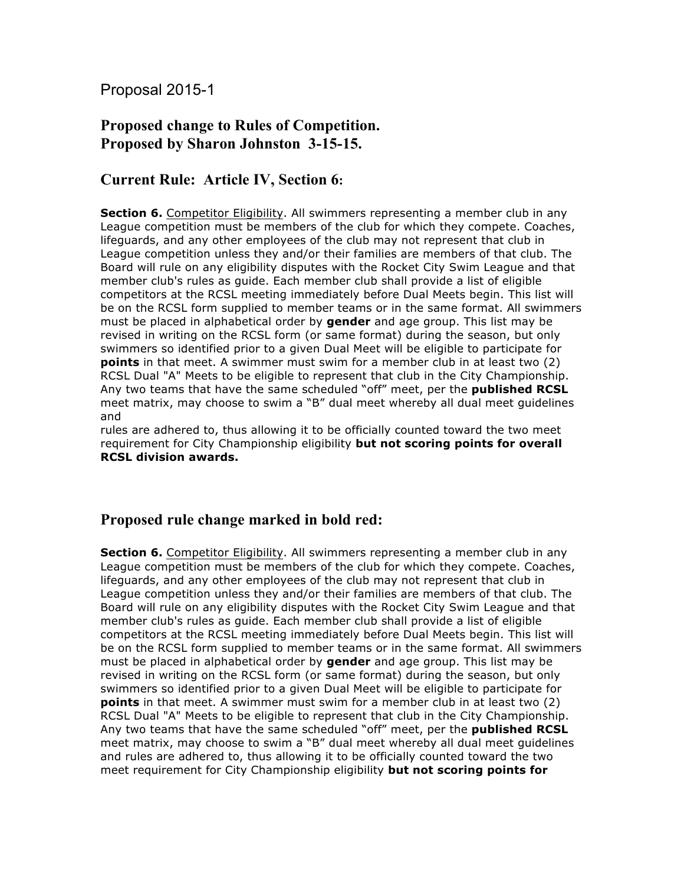Proposal 2015-1

## **Proposed change to Rules of Competition. Proposed by Sharon Johnston 3-15-15.**

## **Current Rule: Article IV, Section 6:**

**Section 6.** Competitor Eligibility. All swimmers representing a member club in any League competition must be members of the club for which they compete. Coaches, lifeguards, and any other employees of the club may not represent that club in League competition unless they and/or their families are members of that club. The Board will rule on any eligibility disputes with the Rocket City Swim League and that member club's rules as guide. Each member club shall provide a list of eligible competitors at the RCSL meeting immediately before Dual Meets begin. This list will be on the RCSL form supplied to member teams or in the same format. All swimmers must be placed in alphabetical order by **gender** and age group. This list may be revised in writing on the RCSL form (or same format) during the season, but only swimmers so identified prior to a given Dual Meet will be eligible to participate for **points** in that meet. A swimmer must swim for a member club in at least two (2) RCSL Dual "A" Meets to be eligible to represent that club in the City Championship. Any two teams that have the same scheduled "off" meet, per the **published RCSL**  meet matrix, may choose to swim a "B" dual meet whereby all dual meet guidelines and

rules are adhered to, thus allowing it to be officially counted toward the two meet requirement for City Championship eligibility **but not scoring points for overall RCSL division awards.**

## **Proposed rule change marked in bold red:**

**Section 6.** Competitor Eligibility. All swimmers representing a member club in any League competition must be members of the club for which they compete. Coaches, lifeguards, and any other employees of the club may not represent that club in League competition unless they and/or their families are members of that club. The Board will rule on any eligibility disputes with the Rocket City Swim League and that member club's rules as guide. Each member club shall provide a list of eligible competitors at the RCSL meeting immediately before Dual Meets begin. This list will be on the RCSL form supplied to member teams or in the same format. All swimmers must be placed in alphabetical order by **gender** and age group. This list may be revised in writing on the RCSL form (or same format) during the season, but only swimmers so identified prior to a given Dual Meet will be eligible to participate for **points** in that meet. A swimmer must swim for a member club in at least two (2) RCSL Dual "A" Meets to be eligible to represent that club in the City Championship. Any two teams that have the same scheduled "off" meet, per the **published RCSL**  meet matrix, may choose to swim a "B" dual meet whereby all dual meet guidelines and rules are adhered to, thus allowing it to be officially counted toward the two meet requirement for City Championship eligibility **but not scoring points for**